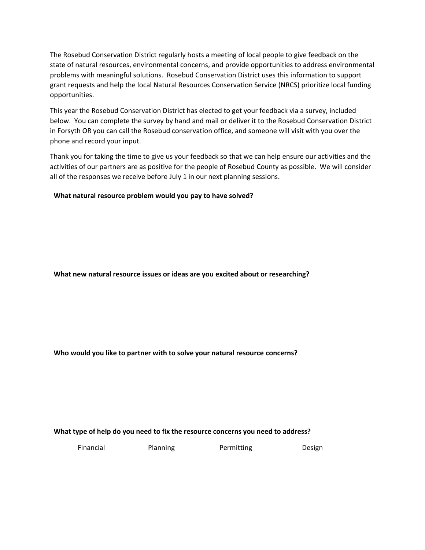The Rosebud Conservation District regularly hosts a meeting of local people to give feedback on the state of natural resources, environmental concerns, and provide opportunities to address environmental problems with meaningful solutions. Rosebud Conservation District uses this information to support grant requests and help the local Natural Resources Conservation Service (NRCS) prioritize local funding opportunities.

This year the Rosebud Conservation District has elected to get your feedback via a survey, included below. You can complete the survey by hand and mail or deliver it to the Rosebud Conservation District in Forsyth OR you can call the Rosebud conservation office, and someone will visit with you over the phone and record your input.

Thank you for taking the time to give us your feedback so that we can help ensure our activities and the activities of our partners are as positive for the people of Rosebud County as possible. We will consider all of the responses we receive before July 1 in our next planning sessions.

**What natural resource problem would you pay to have solved?**

**What new natural resource issues or ideas are you excited about or researching?**

**Who would you like to partner with to solve your natural resource concerns?**

## **What type of help do you need to fix the resource concerns you need to address?**

Financial Planning Permitting Design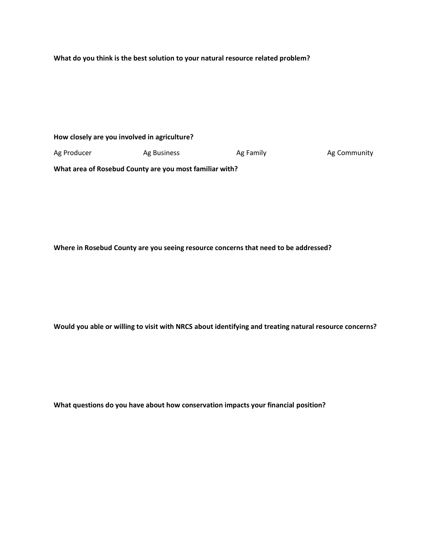**What do you think is the best solution to your natural resource related problem?**

**How closely are you involved in agriculture?**

Ag Producer **Ag Business** Ag Family Ag Family Ag Community

**What area of Rosebud County are you most familiar with?**

**Where in Rosebud County are you seeing resource concerns that need to be addressed?**

**Would you able or willing to visit with NRCS about identifying and treating natural resource concerns?**

**What questions do you have about how conservation impacts your financial position?**